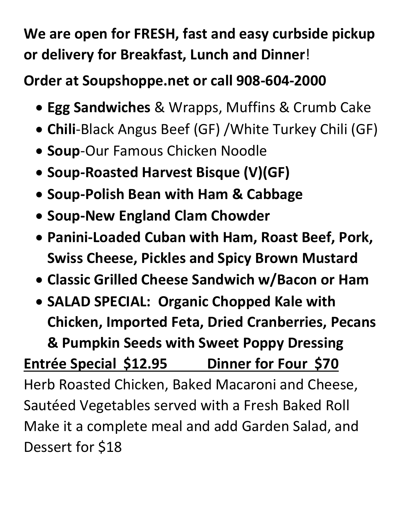## **We are open for FRESH, fast and easy curbside pickup or delivery for Breakfast, Lunch and Dinner**!

## **Order at Soupshoppe.net or call 908-604-2000**

- **Egg Sandwiches** & Wrapps, Muffins & Crumb Cake
- **Chili**-Black Angus Beef (GF) /White Turkey Chili (GF)
- **Soup**-Our Famous Chicken Noodle
- **Soup-Roasted Harvest Bisque (V)(GF)**
- **Soup-Polish Bean with Ham & Cabbage**
- **Soup-New England Clam Chowder**
- **Panini-Loaded Cuban with Ham, Roast Beef, Pork, Swiss Cheese, Pickles and Spicy Brown Mustard**
- **Classic Grilled Cheese Sandwich w/Bacon or Ham**
- **SALAD SPECIAL: Organic Chopped Kale with Chicken, Imported Feta, Dried Cranberries, Pecans & Pumpkin Seeds with Sweet Poppy Dressing**

## **Entrée Special \$12.95 Dinner for Four \$70**

Herb Roasted Chicken, Baked Macaroni and Cheese, Sautéed Vegetables served with a Fresh Baked Roll Make it a complete meal and add Garden Salad, and Dessert for \$18